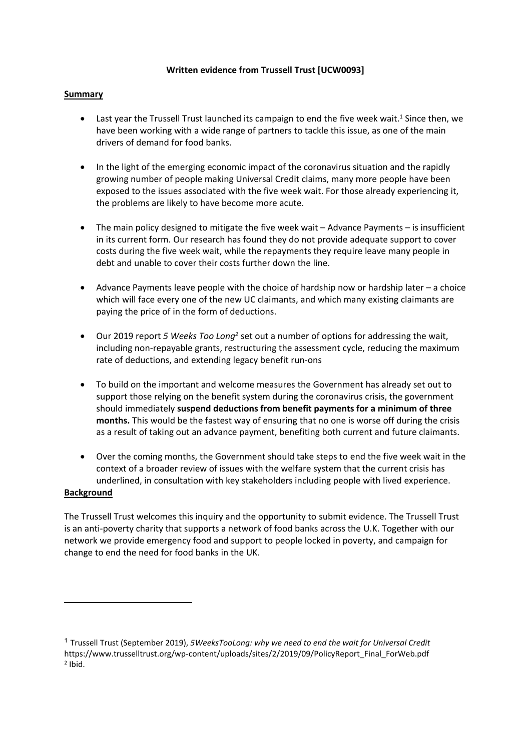### **Written evidence from Trussell Trust [UCW0093]**

## **Summary**

- Last year the Trussell Trust launched its campaign to end the five week wait.<sup>1</sup> Since then, we have been working with a wide range of partners to tackle this issue, as one of the main drivers of demand for food banks.
- In the light of the emerging economic impact of the coronavirus situation and the rapidly growing number of people making Universal Credit claims, many more people have been exposed to the issues associated with the five week wait. For those already experiencing it, the problems are likely to have become more acute.
- The main policy designed to mitigate the five week wait Advance Payments is insufficient in its current form. Our research has found they do not provide adequate support to cover costs during the five week wait, while the repayments they require leave many people in debt and unable to cover their costs further down the line.
- Advance Payments leave people with the choice of hardship now or hardship later a choice which will face every one of the new UC claimants, and which many existing claimants are paying the price of in the form of deductions.
- Our 2019 report *5 Weeks Too Long<sup>2</sup>* set out a number of options for addressing the wait, including non-repayable grants, restructuring the assessment cycle, reducing the maximum rate of deductions, and extending legacy benefit run-ons
- To build on the important and welcome measures the Government has already set out to support those relying on the benefit system during the coronavirus crisis, the government should immediately **suspend deductions from benefit payments for a minimum of three months.** This would be the fastest way of ensuring that no one is worse off during the crisis as a result of taking out an advance payment, benefiting both current and future claimants.
- Over the coming months, the Government should take steps to end the five week wait in the context of a broader review of issues with the welfare system that the current crisis has underlined, in consultation with key stakeholders including people with lived experience.

#### **Background**

The Trussell Trust welcomes this inquiry and the opportunity to submit evidence. The Trussell Trust is an anti-poverty charity that supports a network of food banks across the U.K. Together with our network we provide emergency food and support to people locked in poverty, and campaign for change to end the need for food banks in the UK.

<sup>1</sup> Trussell Trust (September 2019), *5WeeksTooLong: why we need to end the wait for Universal Credit* https://www.trusselltrust.org/wp-content/uploads/sites/2/2019/09/PolicyReport\_Final\_ForWeb.pdf 2 Ibid.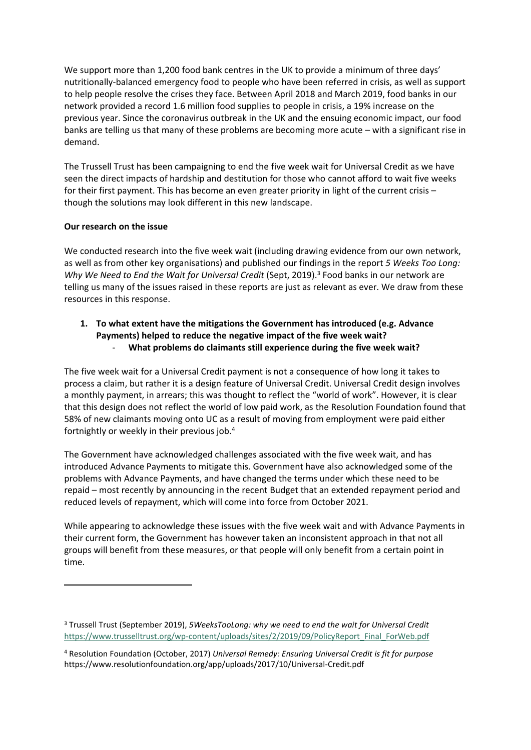We support more than 1,200 food bank centres in the UK to provide a minimum of three days' nutritionally-balanced emergency food to people who have been referred in crisis, as well as support to help people resolve the crises they face. Between April 2018 and March 2019, food banks in our network provided a record 1.6 million food supplies to people in crisis, a 19% increase on the previous year. Since the coronavirus outbreak in the UK and the ensuing economic impact, our food banks are telling us that many of these problems are becoming more acute – with a significant rise in demand.

The Trussell Trust has been campaigning to end the five week wait for Universal Credit as we have seen the direct impacts of hardship and destitution for those who cannot afford to wait five weeks for their first payment. This has become an even greater priority in light of the current crisis – though the solutions may look different in this new landscape.

## **Our research on the issue**

We conducted research into the five week wait (including drawing evidence from our own network, as well as from other key organisations) and published our findings in the report *5 Weeks Too Long: Why We Need to End the Wait for Universal Credit* (Sept, 2019).<sup>3</sup> Food banks in our network are telling us many of the issues raised in these reports are just as relevant as ever. We draw from these resources in this response.

## **1. To what extent have the mitigations the Government has introduced (e.g. Advance Payments) helped to reduce the negative impact of the five week wait?** - **What problems do claimants still experience during the five week wait?**

The five week wait for a Universal Credit payment is not a consequence of how long it takes to process a claim, but rather it is a design feature of Universal Credit. Universal Credit design involves a monthly payment, in arrears; this was thought to reflect the "world of work". However, it is clear that this design does not reflect the world of low paid work, as the Resolution Foundation found that 58% of new claimants moving onto UC as a result of moving from employment were paid either fortnightly or weekly in their previous job.<sup>4</sup>

The Government have acknowledged challenges associated with the five week wait, and has introduced Advance Payments to mitigate this. Government have also acknowledged some of the problems with Advance Payments, and have changed the terms under which these need to be repaid – most recently by announcing in the recent Budget that an extended repayment period and reduced levels of repayment, which will come into force from October 2021.

While appearing to acknowledge these issues with the five week wait and with Advance Payments in their current form, the Government has however taken an inconsistent approach in that not all groups will benefit from these measures, or that people will only benefit from a certain point in time.

<sup>3</sup> Trussell Trust (September 2019), *5WeeksTooLong: why we need to end the wait for Universal Credit* [https://www.trusselltrust.org/wp-content/uploads/sites/2/2019/09/PolicyReport\\_Final\\_ForWeb.pdf](https://www.trusselltrust.org/wp-content/uploads/sites/2/2019/09/PolicyReport_Final_ForWeb.pdf)

<sup>4</sup> Resolution Foundation (October, 2017) *Universal Remedy: Ensuring Universal Credit is fit for purpose* https://www.resolutionfoundation.org/app/uploads/2017/10/Universal-Credit.pdf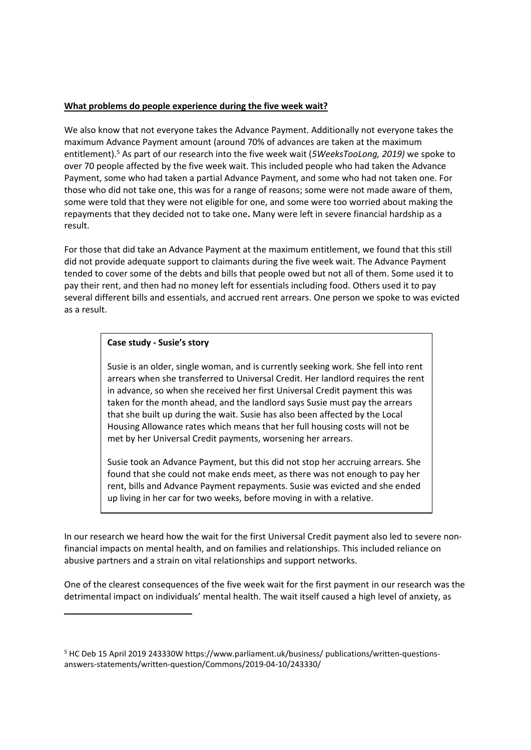#### **What problems do people experience during the five week wait?**

We also know that not everyone takes the Advance Payment. Additionally not everyone takes the maximum Advance Payment amount (around 70% of advances are taken at the maximum entitlement).<sup>5</sup> As part of our research into the five week wait (*5WeeksTooLong, 2019)* we spoke to over 70 people affected by the five week wait. This included people who had taken the Advance Payment, some who had taken a partial Advance Payment, and some who had not taken one. For those who did not take one, this was for a range of reasons; some were not made aware of them, some were told that they were not eligible for one, and some were too worried about making the repayments that they decided not to take one**.** Many were left in severe financial hardship as a result.

For those that did take an Advance Payment at the maximum entitlement, we found that this still did not provide adequate support to claimants during the five week wait. The Advance Payment tended to cover some of the debts and bills that people owed but not all of them. Some used it to pay their rent, and then had no money left for essentials including food. Others used it to pay several different bills and essentials, and accrued rent arrears. One person we spoke to was evicted as a result.

#### **Case study - Susie's story**

Susie is an older, single woman, and is currently seeking work. She fell into rent arrears when she transferred to Universal Credit. Her landlord requires the rent in advance, so when she received her first Universal Credit payment this was taken for the month ahead, and the landlord says Susie must pay the arrears that she built up during the wait. Susie has also been affected by the Local Housing Allowance rates which means that her full housing costs will not be met by her Universal Credit payments, worsening her arrears.

Susie took an Advance Payment, but this did not stop her accruing arrears. She found that she could not make ends meet, as there was not enough to pay her rent, bills and Advance Payment repayments. Susie was evicted and she ended up living in her car for two weeks, before moving in with a relative.

In our research we heard how the wait for the first Universal Credit payment also led to severe nonfinancial impacts on mental health, and on families and relationships. This included reliance on abusive partners and a strain on vital relationships and support networks.

One of the clearest consequences of the five week wait for the first payment in our research was the detrimental impact on individuals' mental health. The wait itself caused a high level of anxiety, as

<sup>5</sup> HC Deb 15 April 2019 243330W https://www.parliament.uk/business/ publications/written-questionsanswers-statements/written-question/Commons/2019-04-10/243330/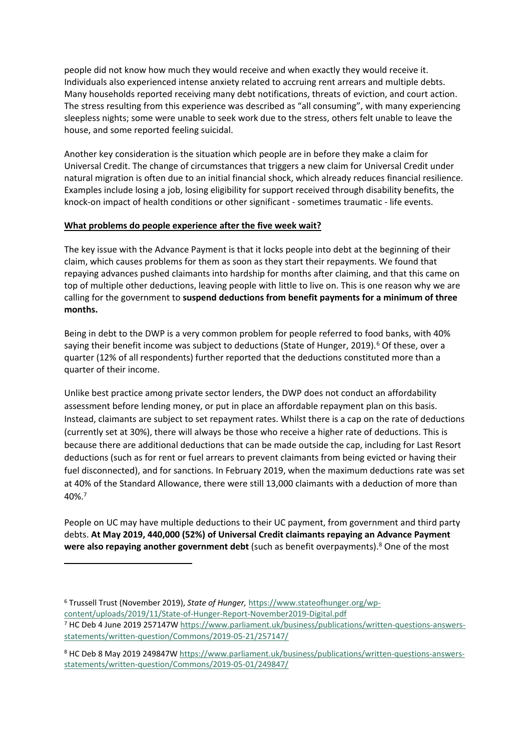people did not know how much they would receive and when exactly they would receive it. Individuals also experienced intense anxiety related to accruing rent arrears and multiple debts. Many households reported receiving many debt notifications, threats of eviction, and court action. The stress resulting from this experience was described as "all consuming", with many experiencing sleepless nights; some were unable to seek work due to the stress, others felt unable to leave the house, and some reported feeling suicidal.

Another key consideration is the situation which people are in before they make a claim for Universal Credit. The change of circumstances that triggers a new claim for Universal Credit under natural migration is often due to an initial financial shock, which already reduces financial resilience. Examples include losing a job, losing eligibility for support received through disability benefits, the knock-on impact of health conditions or other significant - sometimes traumatic - life events.

## **What problems do people experience after the five week wait?**

The key issue with the Advance Payment is that it locks people into debt at the beginning of their claim, which causes problems for them as soon as they start their repayments. We found that repaying advances pushed claimants into hardship for months after claiming, and that this came on top of multiple other deductions, leaving people with little to live on. This is one reason why we are calling for the government to **suspend deductions from benefit payments for a minimum of three months.**

Being in debt to the DWP is a very common problem for people referred to food banks, with 40% saying their benefit income was subject to deductions (State of Hunger, 2019).<sup>6</sup> Of these, over a quarter (12% of all respondents) further reported that the deductions constituted more than a quarter of their income.

Unlike best practice among private sector lenders, the DWP does not conduct an affordability assessment before lending money, or put in place an affordable repayment plan on this basis. Instead, claimants are subject to set repayment rates. Whilst there is a cap on the rate of deductions (currently set at 30%), there will always be those who receive a higher rate of deductions. This is because there are additional deductions that can be made outside the cap, including for Last Resort deductions (such as for rent or fuel arrears to prevent claimants from being evicted or having their fuel disconnected), and for sanctions. In February 2019, when the maximum deductions rate was set at 40% of the Standard Allowance, there were still 13,000 claimants with a deduction of more than 40%.<sup>7</sup>

People on UC may have multiple deductions to their UC payment, from government and third party debts. **At May 2019, 440,000 (52%) of Universal Credit claimants repaying an Advance Payment were also repaying another government debt** (such as benefit overpayments).<sup>8</sup> One of the most

<sup>6</sup> Trussell Trust (November 2019), *State of Hunger,* [https://www.stateofhunger.org/wp](https://www.stateofhunger.org/wp-content/uploads/2019/11/State-of-Hunger-Report-November2019-Digital.pdf)[content/uploads/2019/11/State-of-Hunger-Report-November2019-Digital.pdf](https://www.stateofhunger.org/wp-content/uploads/2019/11/State-of-Hunger-Report-November2019-Digital.pdf) <sup>7</sup> HC Deb 4 June 2019 257147W [https://www.parliament.uk/business/publications/written-questions-answers](https://www.parliament.uk/business/publications/written-questions-answers-statements/written-question/Commons/2019-05-21/257147/)[statements/written-question/Commons/2019-05-21/257147/](https://www.parliament.uk/business/publications/written-questions-answers-statements/written-question/Commons/2019-05-21/257147/)

<sup>8</sup> HC Deb 8 May 2019 249847W [https://www.parliament.uk/business/publications/written-questions-answers](https://www.parliament.uk/business/publications/written-questions-answers-statements/written-question/Commons/2019-05-01/249847/)[statements/written-question/Commons/2019-05-01/249847/](https://www.parliament.uk/business/publications/written-questions-answers-statements/written-question/Commons/2019-05-01/249847/)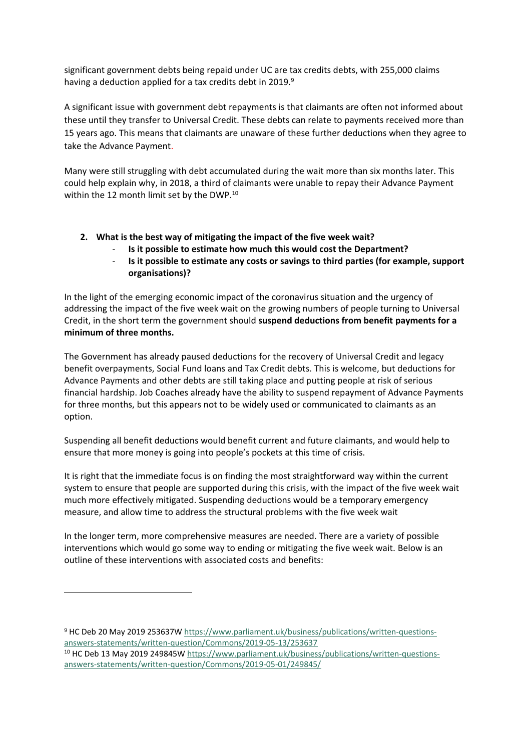significant government debts being repaid under UC are tax credits debts, with 255,000 claims having a deduction applied for a tax credits debt in 2019.<sup>9</sup>

A significant issue with government debt repayments is that claimants are often not informed about these until they transfer to Universal Credit. These debts can relate to payments received more than 15 years ago. This means that claimants are unaware of these further deductions when they agree to take the Advance Payment.

Many were still struggling with debt accumulated during the wait more than six months later. This could help explain why, in 2018, a third of claimants were unable to repay their Advance Payment within the 12 month limit set by the DWP.<sup>10</sup>

- **2. What is the best way of mitigating the impact of the five week wait?**
	- **Is it possible to estimate how much this would cost the Department?**
	- **Is it possible to estimate any costs or savings to third parties (for example, support organisations)?**

In the light of the emerging economic impact of the coronavirus situation and the urgency of addressing the impact of the five week wait on the growing numbers of people turning to Universal Credit, in the short term the government should **suspend deductions from benefit payments for a minimum of three months.**

The Government has already paused deductions for the recovery of Universal Credit and legacy benefit overpayments, Social Fund loans and Tax Credit debts. This is welcome, but deductions for Advance Payments and other debts are still taking place and putting people at risk of serious financial hardship. Job Coaches already have the ability to suspend repayment of Advance Payments for three months, but this appears not to be widely used or communicated to claimants as an option.

Suspending all benefit deductions would benefit current and future claimants, and would help to ensure that more money is going into people's pockets at this time of crisis.

It is right that the immediate focus is on finding the most straightforward way within the current system to ensure that people are supported during this crisis, with the impact of the five week wait much more effectively mitigated. Suspending deductions would be a temporary emergency measure, and allow time to address the structural problems with the five week wait

In the longer term, more comprehensive measures are needed. There are a variety of possible interventions which would go some way to ending or mitigating the five week wait. Below is an outline of these interventions with associated costs and benefits:

<sup>9</sup> HC Deb 20 May 2019 253637W [https://www.parliament.uk/business/publications/written-questions](https://www.parliament.uk/business/publications/written-questions-answers-statements/written-question/Commons/2019-05-13/253637)[answers-statements/written-question/Commons/2019-05-13/253637](https://www.parliament.uk/business/publications/written-questions-answers-statements/written-question/Commons/2019-05-13/253637)

<sup>&</sup>lt;sup>10</sup> HC Deb 13 May 2019 249845W [https://www.parliament.uk/business/publications/written-questions](https://www.parliament.uk/business/publications/written-questions-answers-statements/written-question/Commons/2019-05-01/249845/)[answers-statements/written-question/Commons/2019-05-01/249845/](https://www.parliament.uk/business/publications/written-questions-answers-statements/written-question/Commons/2019-05-01/249845/)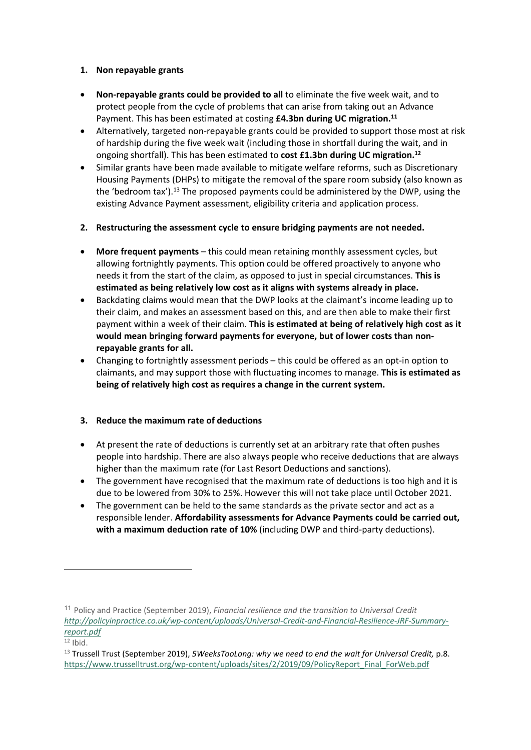## **1. Non repayable grants**

- **Non-repayable grants could be provided to all** to eliminate the five week wait, and to protect people from the cycle of problems that can arise from taking out an Advance Payment. This has been estimated at costing **£4.3bn during UC migration.<sup>11</sup>**
- Alternatively, targeted non-repayable grants could be provided to support those most at risk of hardship during the five week wait (including those in shortfall during the wait, and in ongoing shortfall). This has been estimated to **cost £1.3bn during UC migration.<sup>12</sup>**
- Similar grants have been made available to mitigate welfare reforms, such as Discretionary Housing Payments (DHPs) to mitigate the removal of the spare room subsidy (also known as the 'bedroom tax').<sup>13</sup> The proposed payments could be administered by the DWP, using the existing Advance Payment assessment, eligibility criteria and application process.
- **2. Restructuring the assessment cycle to ensure bridging payments are not needed.**
- **More frequent payments** this could mean retaining monthly assessment cycles, but allowing fortnightly payments. This option could be offered proactively to anyone who needs it from the start of the claim, as opposed to just in special circumstances. **This is estimated as being relatively low cost as it aligns with systems already in place.**
- Backdating claims would mean that the DWP looks at the claimant's income leading up to their claim, and makes an assessment based on this, and are then able to make their first payment within a week of their claim. **This is estimated at being of relatively high cost as it would mean bringing forward payments for everyone, but of lower costs than nonrepayable grants for all.**
- Changing to fortnightly assessment periods this could be offered as an opt-in option to claimants, and may support those with fluctuating incomes to manage. **This is estimated as being of relatively high cost as requires a change in the current system.**

# **3. Reduce the maximum rate of deductions**

- At present the rate of deductions is currently set at an arbitrary rate that often pushes people into hardship. There are also always people who receive deductions that are always higher than the maximum rate (for Last Resort Deductions and sanctions).
- The government have recognised that the maximum rate of deductions is too high and it is due to be lowered from 30% to 25%. However this will not take place until October 2021.
- The government can be held to the same standards as the private sector and act as a responsible lender. **Affordability assessments for Advance Payments could be carried out, with a maximum deduction rate of 10%** (including DWP and third-party deductions).

<sup>11</sup> Policy and Practice (September 2019), *Financial resilience and the transition to Universal Credit [http://policyinpractice.co.uk/wp-content/uploads/Universal-Credit-and-Financial-Resilience-JRF-Summary](http://policyinpractice.co.uk/wp-content/uploads/Universal-Credit-and-Financial-Resilience-JRF-Summary-report.pdf)[report.pdf](http://policyinpractice.co.uk/wp-content/uploads/Universal-Credit-and-Financial-Resilience-JRF-Summary-report.pdf)*

 $12$  Ibid.

<sup>13</sup> Trussell Trust (September 2019), *5WeeksTooLong: why we need to end the wait for Universal Credit,* p.8. [https://www.trusselltrust.org/wp-content/uploads/sites/2/2019/09/PolicyReport\\_Final\\_ForWeb.pdf](https://www.trusselltrust.org/wp-content/uploads/sites/2/2019/09/PolicyReport_Final_ForWeb.pdf)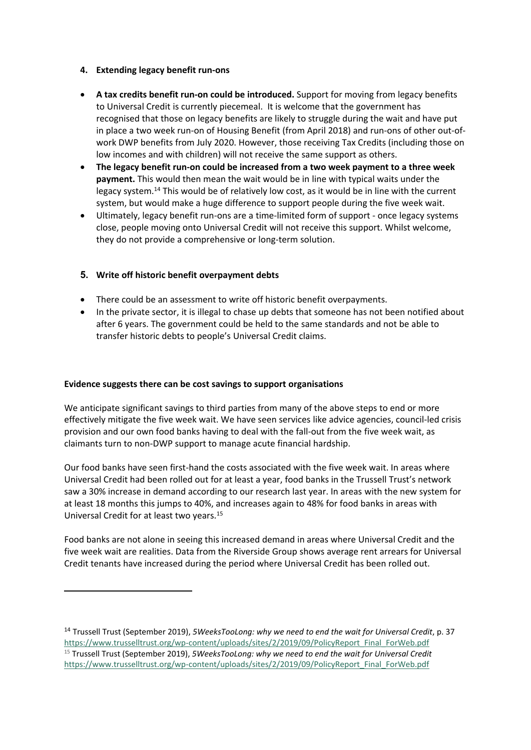### **4. Extending legacy benefit run-ons**

- **A tax credits benefit run-on could be introduced.** Support for moving from legacy benefits to Universal Credit is currently piecemeal. It is welcome that the government has recognised that those on legacy benefits are likely to struggle during the wait and have put in place a two week run-on of Housing Benefit (from April 2018) and run-ons of other out-ofwork DWP benefits from July 2020. However, those receiving Tax Credits (including those on low incomes and with children) will not receive the same support as others.
- **The legacy benefit run-on could be increased from a two week payment to a three week payment.** This would then mean the wait would be in line with typical waits under the legacy system.<sup>14</sup> This would be of relatively low cost, as it would be in line with the current system, but would make a huge difference to support people during the five week wait.
- Ultimately, legacy benefit run-ons are a time-limited form of support once legacy systems close, people moving onto Universal Credit will not receive this support. Whilst welcome, they do not provide a comprehensive or long-term solution.

# **5. Write off historic benefit overpayment debts**

- There could be an assessment to write off historic benefit overpayments.
- In the private sector, it is illegal to chase up debts that someone has not been notified about after 6 years. The government could be held to the same standards and not be able to transfer historic debts to people's Universal Credit claims.

#### **Evidence suggests there can be cost savings to support organisations**

We anticipate significant savings to third parties from many of the above steps to end or more effectively mitigate the five week wait. We have seen services like advice agencies, council-led crisis provision and our own food banks having to deal with the fall-out from the five week wait, as claimants turn to non-DWP support to manage acute financial hardship.

Our food banks have seen first-hand the costs associated with the five week wait. In areas where Universal Credit had been rolled out for at least a year, food banks in the Trussell Trust's network saw a 30% increase in demand according to our research last year. In areas with the new system for at least 18 months this jumps to 40%, and increases again to 48% for food banks in areas with Universal Credit for at least two years.<sup>15</sup>

Food banks are not alone in seeing this increased demand in areas where Universal Credit and the five week wait are realities. Data from the Riverside Group shows average rent arrears for Universal Credit tenants have increased during the period where Universal Credit has been rolled out.

<sup>14</sup> Trussell Trust (September 2019), *5WeeksTooLong: why we need to end the wait for Universal Credit*, p. 37 [https://www.trusselltrust.org/wp-content/uploads/sites/2/2019/09/PolicyReport\\_Final\\_ForWeb.pdf](https://www.trusselltrust.org/wp-content/uploads/sites/2/2019/09/PolicyReport_Final_ForWeb.pdf) <sup>15</sup> Trussell Trust (September 2019), *5WeeksTooLong: why we need to end the wait for Universal Credit* [https://www.trusselltrust.org/wp-content/uploads/sites/2/2019/09/PolicyReport\\_Final\\_ForWeb.pdf](https://www.trusselltrust.org/wp-content/uploads/sites/2/2019/09/PolicyReport_Final_ForWeb.pdf)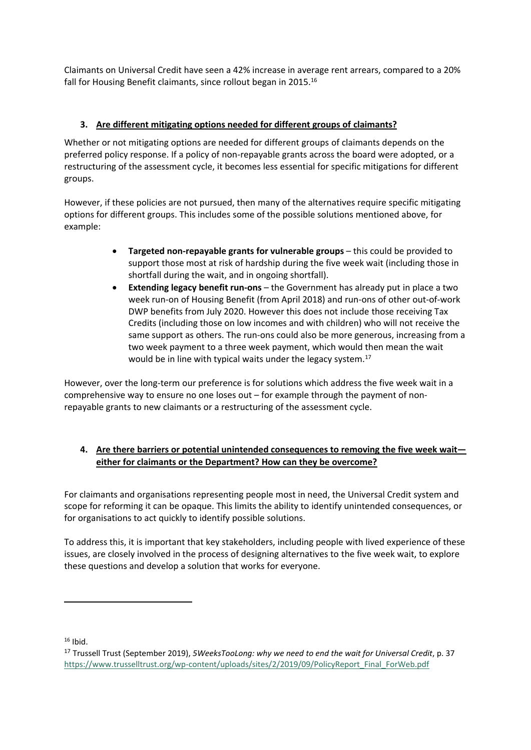Claimants on Universal Credit have seen a 42% increase in average rent arrears, compared to a 20% fall for Housing Benefit claimants, since rollout began in 2015.<sup>16</sup>

# **3. Are different mitigating options needed for different groups of claimants?**

Whether or not mitigating options are needed for different groups of claimants depends on the preferred policy response. If a policy of non-repayable grants across the board were adopted, or a restructuring of the assessment cycle, it becomes less essential for specific mitigations for different groups.

However, if these policies are not pursued, then many of the alternatives require specific mitigating options for different groups. This includes some of the possible solutions mentioned above, for example:

- **Targeted non-repayable grants for vulnerable groups** this could be provided to support those most at risk of hardship during the five week wait (including those in shortfall during the wait, and in ongoing shortfall).
- **Extending legacy benefit run-ons** the Government has already put in place a two week run-on of Housing Benefit (from April 2018) and run-ons of other out-of-work DWP benefits from July 2020. However this does not include those receiving Tax Credits (including those on low incomes and with children) who will not receive the same support as others. The run-ons could also be more generous, increasing from a two week payment to a three week payment, which would then mean the wait would be in line with typical waits under the legacy system.<sup>17</sup>

However, over the long-term our preference is for solutions which address the five week wait in a comprehensive way to ensure no one loses out – for example through the payment of nonrepayable grants to new claimants or a restructuring of the assessment cycle.

# **4. Are there barriers or potential unintended consequences to removing the five week wait either for claimants or the Department? How can they be overcome?**

For claimants and organisations representing people most in need, the Universal Credit system and scope for reforming it can be opaque. This limits the ability to identify unintended consequences, or for organisations to act quickly to identify possible solutions.

To address this, it is important that key stakeholders, including people with lived experience of these issues, are closely involved in the process of designing alternatives to the five week wait, to explore these questions and develop a solution that works for everyone.

 $16$  Ibid.

<sup>17</sup> Trussell Trust (September 2019), *5WeeksTooLong: why we need to end the wait for Universal Credit*, p. 37 [https://www.trusselltrust.org/wp-content/uploads/sites/2/2019/09/PolicyReport\\_Final\\_ForWeb.pdf](https://www.trusselltrust.org/wp-content/uploads/sites/2/2019/09/PolicyReport_Final_ForWeb.pdf)